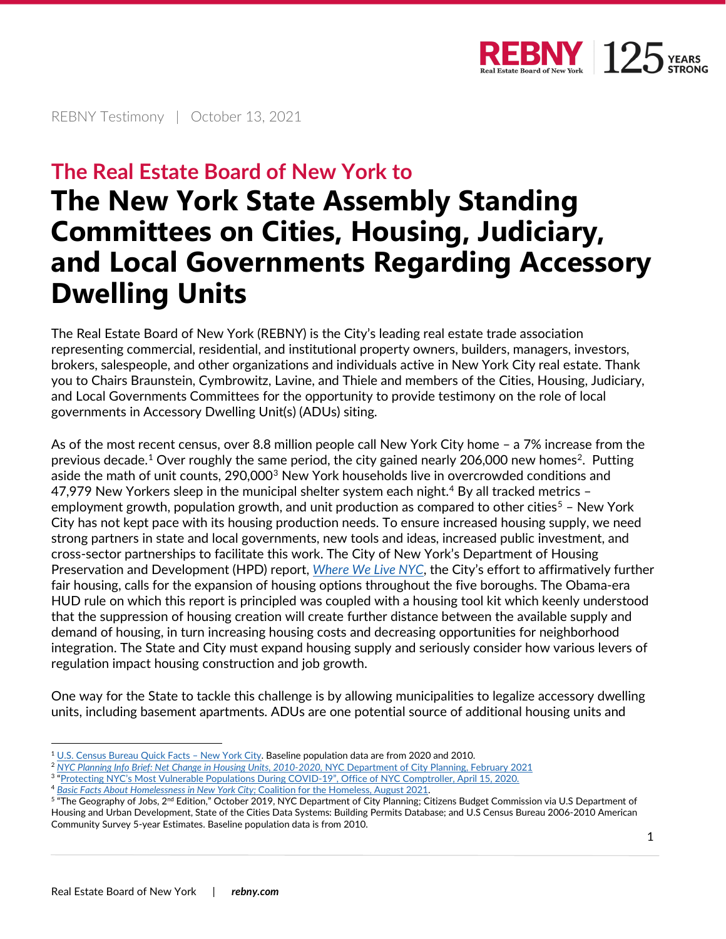

REBNY Testimony | October 13, 2021

## **The Real Estate Board of New York to**

## **The New York State Assembly Standing Committees on Cities, Housing, Judiciary, and Local Governments Regarding Accessory Dwelling Units**

The Real Estate Board of New York (REBNY) is the City's leading real estate trade association representing commercial, residential, and institutional property owners, builders, managers, investors, brokers, salespeople, and other organizations and individuals active in New York City real estate. Thank you to Chairs Braunstein, Cymbrowitz, Lavine, and Thiele and members of the Cities, Housing, Judiciary, and Local Governments Committees for the opportunity to provide testimony on the role of local governments in Accessory Dwelling Unit(s) (ADUs) siting.

As of the most recent census, over 8.8 million people call New York City home – a 7% increase from the previous decade. $^1$  $^1$  Over roughly the same period, the city gained nearly [2](#page-0-1)06,000 new homes $^2$ . Putting aside the math of unit counts, 290,000<sup>[3](#page-0-2)</sup> New York households live in overcrowded conditions and [4](#page-0-3)7,979 New Yorkers sleep in the municipal shelter system each night.<sup>4</sup> By all tracked metrics  $-$ employment growth, population growth, and unit production as compared to other cities<sup>[5](#page-0-4)</sup> – New York City has not kept pace with its housing production needs. To ensure increased housing supply, we need strong partners in state and local governments, new tools and ideas, increased public investment, and cross-sector partnerships to facilitate this work. The City of New York's Department of Housing Preservation and Development (HPD) report, *[Where We Live NYC](https://www1.nyc.gov/assets/hpd/downloads/pdfs/wwl-plan.pdf)*, the City's effort to affirmatively further fair housing, calls for the expansion of housing options throughout the five boroughs. The Obama-era HUD rule on which this report is principled was coupled with a housing tool kit which keenly understood that the suppression of housing creation will create further distance between the available supply and demand of housing, in turn increasing housing costs and decreasing opportunities for neighborhood integration. The State and City must expand housing supply and seriously consider how various levers of regulation impact housing construction and job growth.

One way for the State to tackle this challenge is by allowing municipalities to legalize accessory dwelling units, including basement apartments. ADUs are one potential source of additional housing units and

- <span id="page-0-3"></span><span id="page-0-2"></span><span id="page-0-1"></span><sup>3</sup> ["Protecting NYC's Most Vulnerable Populations During COVID-19", Office of NYC Comptroller, April 15, 2020.](https://comptroller.nyc.gov/reports/protecting-nycs-most-vulnerable-populations-during-covid-19/)
- <sup>4</sup> *[Basic Facts About Homelessness in New York City;](https://www.coalitionforthehomeless.org/wp-content/uploads/2021/10/NYCHomelessnessFactSheet8-2021_citations.pdf)* Coalition for the Homeless, August 2021.

<span id="page-0-0"></span><sup>&</sup>lt;sup>1</sup> U.S. Census Bureau Quick Facts - New York City. Baseline population data are from 2020 and 2010.

<sup>2</sup> *[NYC Planning Info Brief: Net Change in Housing Units, 2010-2020,](https://www1.nyc.gov/assets/planning/download/pdf/planning-level/housing-economy/info-brief-net-change-housing-units-2010-2020.pdf?r=2)* NYC Department of City Planning, February 2021

<span id="page-0-4"></span><sup>&</sup>lt;sup>5</sup> "The Geography of Jobs, 2<sup>nd</sup> Edition," October 2019, NYC Department of City Planning; Citizens Budget Commission via U.S Department of Housing and Urban Development, State of the Cities Data Systems: Building Permits Database; and U.S Census Bureau 2006-2010 American Community Survey 5-year Estimates. Baseline population data is from 2010.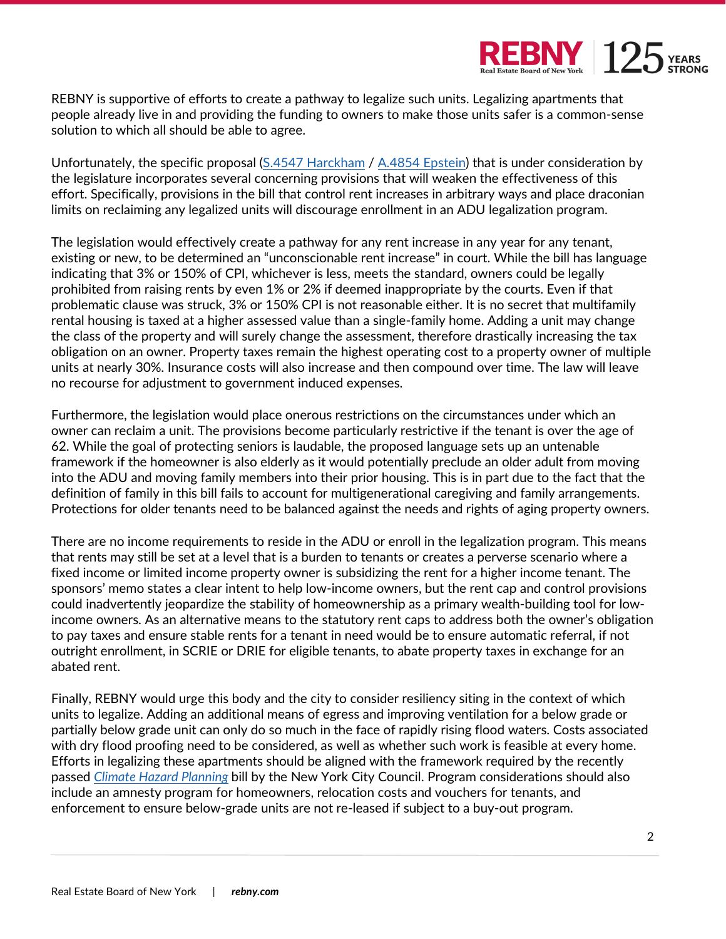

REBNY is supportive of efforts to create a pathway to legalize such units. Legalizing apartments that people already live in and providing the funding to owners to make those units safer is a common-sense solution to which all should be able to agree.

Unfortunately, the specific proposal [\(S.4547 Harckham](https://legislation.nysenate.gov/pdf/bills/2021/S4547) / [A.4854 Epstein\)](https://legislation.nysenate.gov/pdf/bills/2021/A4854) that is under consideration by the legislature incorporates several concerning provisions that will weaken the effectiveness of this effort. Specifically, provisions in the bill that control rent increases in arbitrary ways and place draconian limits on reclaiming any legalized units will discourage enrollment in an ADU legalization program.

The legislation would effectively create a pathway for any rent increase in any year for any tenant, existing or new, to be determined an "unconscionable rent increase" in court. While the bill has language indicating that 3% or 150% of CPI, whichever is less, meets the standard, owners could be legally prohibited from raising rents by even 1% or 2% if deemed inappropriate by the courts. Even if that problematic clause was struck, 3% or 150% CPI is not reasonable either. It is no secret that multifamily rental housing is taxed at a higher assessed value than a single-family home. Adding a unit may change the class of the property and will surely change the assessment, therefore drastically increasing the tax obligation on an owner. Property taxes remain the highest operating cost to a property owner of multiple units at nearly 30%. Insurance costs will also increase and then compound over time. The law will leave no recourse for adjustment to government induced expenses.

Furthermore, the legislation would place onerous restrictions on the circumstances under which an owner can reclaim a unit. The provisions become particularly restrictive if the tenant is over the age of 62. While the goal of protecting seniors is laudable, the proposed language sets up an untenable framework if the homeowner is also elderly as it would potentially preclude an older adult from moving into the ADU and moving family members into their prior housing. This is in part due to the fact that the definition of family in this bill fails to account for multigenerational caregiving and family arrangements. Protections for older tenants need to be balanced against the needs and rights of aging property owners.

There are no income requirements to reside in the ADU or enroll in the legalization program. This means that rents may still be set at a level that is a burden to tenants or creates a perverse scenario where a fixed income or limited income property owner is subsidizing the rent for a higher income tenant. The sponsors' memo states a clear intent to help low-income owners, but the rent cap and control provisions could inadvertently jeopardize the stability of homeownership as a primary wealth-building tool for lowincome owners. As an alternative means to the statutory rent caps to address both the owner's obligation to pay taxes and ensure stable rents for a tenant in need would be to ensure automatic referral, if not outright enrollment, in SCRIE or DRIE for eligible tenants, to abate property taxes in exchange for an abated rent.

Finally, REBNY would urge this body and the city to consider resiliency siting in the context of which units to legalize. Adding an additional means of egress and improving ventilation for a below grade or partially below grade unit can only do so much in the face of rapidly rising flood waters. Costs associated with dry flood proofing need to be considered, as well as whether such work is feasible at every home. Efforts in legalizing these apartments should be aligned with the framework required by the recently passed *[Climate Hazard Planning](https://legistar.council.nyc.gov/LegislationDetail.aspx?ID=3996243&GUID=8BA20DCE-2975-4E72-A812-0320EE34B96C&Options=Attachments%7C&Search=1620)* bill by the New York City Council. Program considerations should also include an amnesty program for homeowners, relocation costs and vouchers for tenants, and enforcement to ensure below-grade units are not re-leased if subject to a buy-out program.